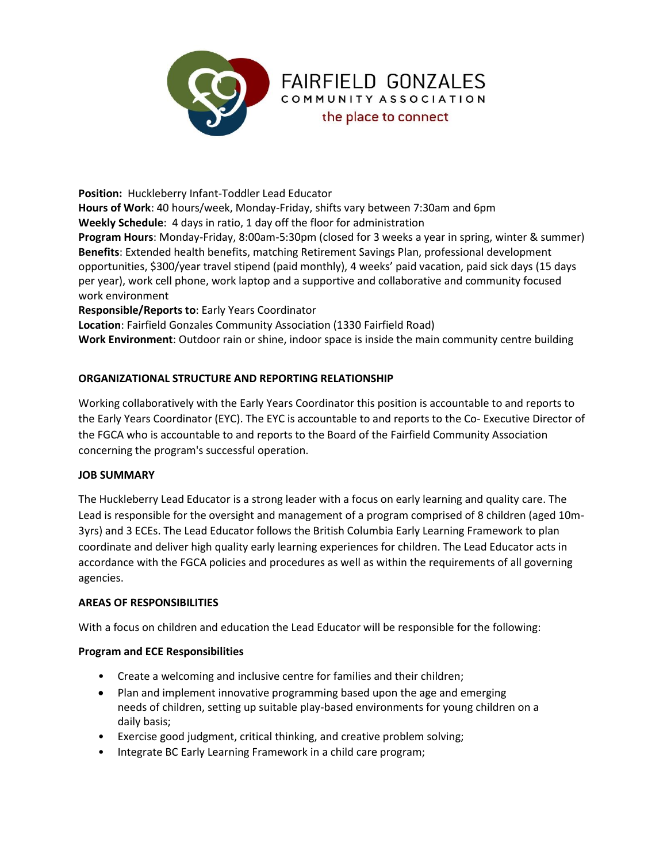

**Position:** Huckleberry Infant-Toddler Lead Educator **Hours of Work**: 40 hours/week, Monday-Friday, shifts vary between 7:30am and 6pm **Weekly Schedule**: 4 days in ratio, 1 day off the floor for administration **Program Hours**: Monday-Friday, 8:00am-5:30pm (closed for 3 weeks a year in spring, winter & summer) **Benefits**: Extended health benefits, matching Retirement Savings Plan, professional development opportunities, \$300/year travel stipend (paid monthly), 4 weeks' paid vacation, paid sick days (15 days per year), work cell phone, work laptop and a supportive and collaborative and community focused work environment **Responsible/Reports to**: Early Years Coordinator **Location**: Fairfield Gonzales Community Association (1330 Fairfield Road)

**FAIRFIELD GONZALES** COMMUNITY ASSOCIATION the place to connect

**Work Environment**: Outdoor rain or shine, indoor space is inside the main community centre building

# **ORGANIZATIONAL STRUCTURE AND REPORTING RELATIONSHIP**

Working collaboratively with the Early Years Coordinator this position is accountable to and reports to the Early Years Coordinator (EYC). The EYC is accountable to and reports to the Co- Executive Director of the FGCA who is accountable to and reports to the Board of the Fairfield Community Association concerning the program's successful operation.

### **JOB SUMMARY**

The Huckleberry Lead Educator is a strong leader with a focus on early learning and quality care. The Lead is responsible for the oversight and management of a program comprised of 8 children (aged 10m-3yrs) and 3 ECEs. The Lead Educator follows the British Columbia Early Learning Framework to plan coordinate and deliver high quality early learning experiences for children. The Lead Educator acts in accordance with the FGCA policies and procedures as well as within the requirements of all governing agencies.

### **AREAS OF RESPONSIBILITIES**

With a focus on children and education the Lead Educator will be responsible for the following:

#### **Program and ECE Responsibilities**

- Create a welcoming and inclusive centre for families and their children;
- Plan and implement innovative programming based upon the age and emerging needs of children, setting up suitable play-based environments for young children on a daily basis;
- Exercise good judgment, critical thinking, and creative problem solving;
- Integrate BC Early Learning Framework in a child care program;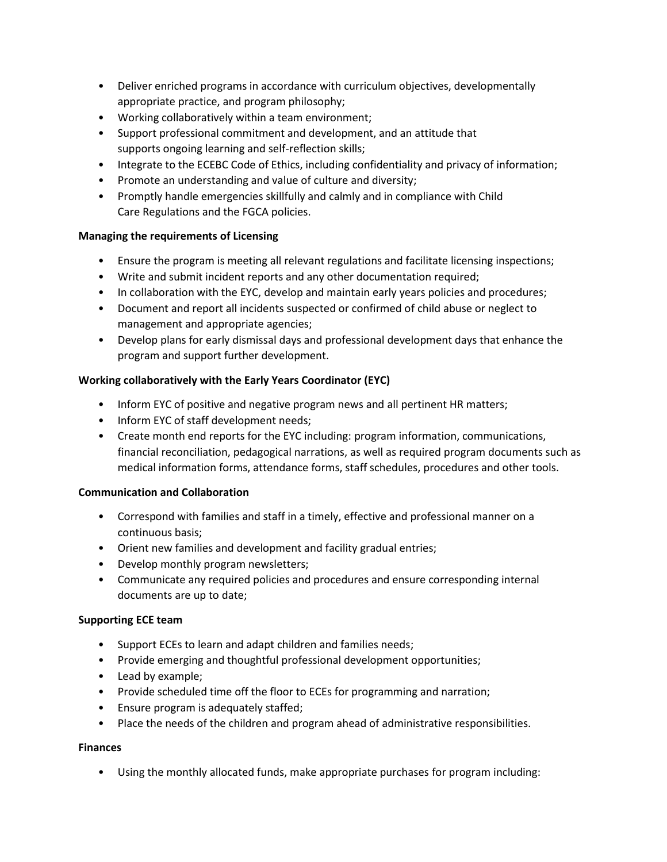- Deliver enriched programs in accordance with curriculum objectives, developmentally appropriate practice, and program philosophy;
- Working collaboratively within a team environment;
- Support professional commitment and development, and an attitude that supports ongoing learning and self-reflection skills;
- Integrate to the ECEBC Code of Ethics, including confidentiality and privacy of information;
- Promote an understanding and value of culture and diversity;
- Promptly handle emergencies skillfully and calmly and in compliance with Child Care Regulations and the FGCA policies.

## **Managing the requirements of Licensing**

- Ensure the program is meeting all relevant regulations and facilitate licensing inspections;
- Write and submit incident reports and any other documentation required;
- In collaboration with the EYC, develop and maintain early years policies and procedures;
- Document and report all incidents suspected or confirmed of child abuse or neglect to management and appropriate agencies;
- Develop plans for early dismissal days and professional development days that enhance the program and support further development.

## **Working collaboratively with the Early Years Coordinator (EYC)**

- Inform EYC of positive and negative program news and all pertinent HR matters;
- Inform EYC of staff development needs;
- Create month end reports for the EYC including: program information, communications, financial reconciliation, pedagogical narrations, as well as required program documents such as medical information forms, attendance forms, staff schedules, procedures and other tools.

### **Communication and Collaboration**

- Correspond with families and staff in a timely, effective and professional manner on a continuous basis;
- Orient new families and development and facility gradual entries;
- Develop monthly program newsletters;
- Communicate any required policies and procedures and ensure corresponding internal documents are up to date;

### **Supporting ECE team**

- Support ECEs to learn and adapt children and families needs;
- Provide emerging and thoughtful professional development opportunities;
- Lead by example;
- Provide scheduled time off the floor to ECEs for programming and narration;
- Ensure program is adequately staffed;
- Place the needs of the children and program ahead of administrative responsibilities.

### **Finances**

• Using the monthly allocated funds, make appropriate purchases for program including: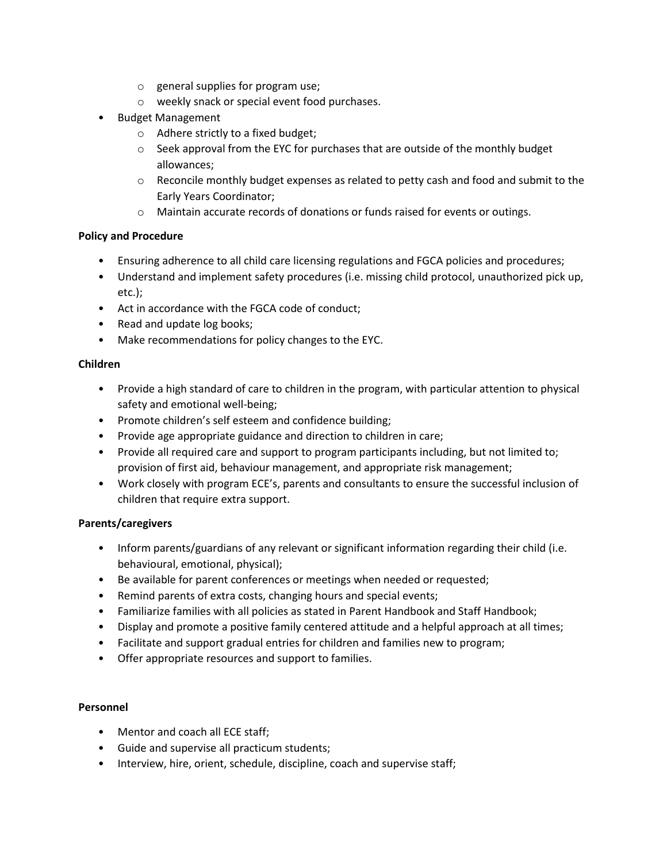- o general supplies for program use;
- o weekly snack or special event food purchases.
- Budget Management
	- o Adhere strictly to a fixed budget;
	- $\circ$  Seek approval from the EYC for purchases that are outside of the monthly budget allowances;
	- $\circ$  Reconcile monthly budget expenses as related to petty cash and food and submit to the Early Years Coordinator;
	- o Maintain accurate records of donations or funds raised for events or outings.

### **Policy and Procedure**

- Ensuring adherence to all child care licensing regulations and FGCA policies and procedures;
- Understand and implement safety procedures (i.e. missing child protocol, unauthorized pick up, etc.);
- Act in accordance with the FGCA code of conduct;
- Read and update log books;
- Make recommendations for policy changes to the EYC.

### **Children**

- Provide a high standard of care to children in the program, with particular attention to physical safety and emotional well-being;
- Promote children's self esteem and confidence building;
- Provide age appropriate guidance and direction to children in care;
- Provide all required care and support to program participants including, but not limited to; provision of first aid, behaviour management, and appropriate risk management;
- Work closely with program ECE's, parents and consultants to ensure the successful inclusion of children that require extra support.

### **Parents/caregivers**

- Inform parents/guardians of any relevant or significant information regarding their child (i.e. behavioural, emotional, physical);
- Be available for parent conferences or meetings when needed or requested;
- Remind parents of extra costs, changing hours and special events;
- Familiarize families with all policies as stated in Parent Handbook and Staff Handbook;
- Display and promote a positive family centered attitude and a helpful approach at all times;
- Facilitate and support gradual entries for children and families new to program;
- Offer appropriate resources and support to families.

### **Personnel**

- Mentor and coach all ECE staff;
- Guide and supervise all practicum students;
- Interview, hire, orient, schedule, discipline, coach and supervise staff;